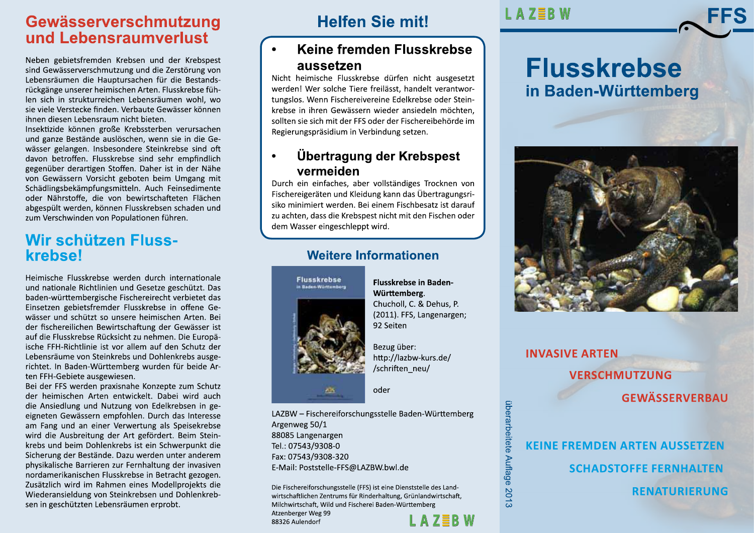## Gewässerverschmutzung und Lebensraumverlust

Neben gebietsfremden Krebsen und der Krebspest sind Gewässerverschmutzung und die Zerstörung von Lebensräumen die Hauptursachen für die Bestandsrückgänge unserer heimischen Arten. Flusskrebse fühlen sich in strukturreichen Lebensräumen wohl, wo sie viele Verstecke finden. Verbaute Gewässer können ihnen diesen Lebensraum nicht bieten.

Insektizide können große Krebssterben verursachen und ganze Bestände auslöschen, wenn sie in die Gewässer gelangen. Insbesondere Steinkrebse sind oft davon betroffen. Flusskrebse sind sehr empfindlich gegenüber derartigen Stoffen. Daher ist in der Nähe von Gewässern Vorsicht geboten beim Umgang mit Schädlingsbekämpfungsmitteln. Auch Feinsedimente oder Nährstoffe, die von bewirtschafteten Flächen abgespült werden, können Flusskrebsen schaden und zum Verschwinden von Populationen führen.

## Wir schützen Flusskrebse!

Heimische Flusskrebse werden durch internationale und nationale Richtlinien und Gesetze geschützt. Das baden-württembergische Fischereirecht verbietet das Einsetzen gebietsfremder Flusskrebse in offene Gewässer und schützt so unsere heimischen Arten. Bei der fischereilichen Bewirtschaftung der Gewässer ist auf die Flusskrebse Rücksicht zu nehmen. Die Europäische FFH-Richtlinie ist vor allem auf den Schutz der Lebensräume von Steinkrebs und Dohlenkrebs ausgerichtet. In Baden-Württemberg wurden für beide Arten FFH-Gebiete ausgewiesen.

Bei der FFS werden praxisnahe Konzepte zum Schutz der heimischen Arten entwickelt. Dabei wird auch die Ansiedlung und Nutzung von Edelkrebsen in geeigneten Gewässern empfohlen. Durch das Interesse am Fang und an einer Verwertung als Speisekrebse wird die Ausbreitung der Art gefördert. Beim Steinkrebs und beim Dohlenkrebs ist ein Schwerpunkt die Sicherung der Bestände. Dazu werden unter anderem physikalische Barrieren zur Fernhaltung der invasiven nordamerikanischen Flusskrebse in Betracht gezogen. Zusätzlich wird im Rahmen eines Modellprojekts die Wiederansieldung von Steinkrebsen und Dohlenkrebsen in geschützten Lebensräumen erprobt.

## **Helfen Sie mit!**

## Keine fremden Flusskrebse aussetzen

Nicht heimische Flusskrebse dürfen nicht ausgesetzt werden! Wer solche Tiere freilässt, handelt verantwortungslos. Wenn Fischereivereine Edelkrebse oder Steinkrebse in ihren Gewässern wieder ansiedeln möchten. sollten sie sich mit der FFS oder der Fischereibehörde im Regierungspräsidium in Verbindung setzen.

#### Übertragung der Krebspest  $\bullet$ vermeiden

Durch ein einfaches, aber vollständiges Trocknen von Fischereigeräten und Kleidung kann das Übertragungsrisiko minimiert werden. Bei einem Fischbesatz ist darauf zu achten, dass die Krebspest nicht mit den Fischen oder dem Wasser eingeschleppt wird.

## **Weitere Informationen**



Württemberg. Chucholl, C. & Dehus, P. (2011). FFS, Langenargen; 92 Seiten

**Flusskrebse in Baden-**

Bezug über: http://lazbw-kurs.de/ /schriften neu/

oder

LAZBW - Fischereiforschungsstelle Baden-Württemberg Argenweg 50/1 88085 Langenargen Tel.: 07543/9308-0 Fax: 07543/9308-320 E-Mail: Poststelle-FFS@LAZBW.bwl.de

Die Fischereiforschungsstelle (FFS) ist eine Dienststelle des Landwirtschaftlichen Zentrums für Rinderhaltung, Grünlandwirtschaft, Milchwirtschaft. Wild und Fischerei Baden-Württemberg Atzenberger Weg 99 88326 Aulendorf

## A ZER W

überarbeitete

Auflage 2013

# **Flusskrebse** in Baden-Württemberg



# **INVASIVE ARTEN VERSCHMUTZUNG GEWÄSSERVERBAU KEINE FREMDEN ARTEN AUSSETZEN**

**SCHADSTOFFE FERNHALTEN** 

**RENATURIERUNG**